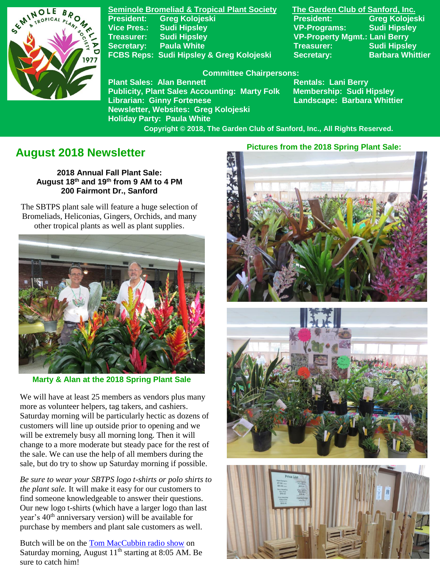

**Seminole Bromeliad & Tropical Plant Society The Garden Club of Sanford, Inc. President: Greg Kolojeski President: Greg Kolojeski Vice Pres.: Sudi Hipsley VP-Programs: Sudi Hipsley Treasurer: Sudi Hipsley VP-Property Mgmt.: Lani Berry Secretary:** Paula White **Network Secretary:** Sudi Hipsley FCBS Reps: Sudi Hipsley & Greg Kolojeski Secretary: Barbara Whittier

### **Committee Chairpersons:**

**Plant Sales: Alan Bennett** Rentals: Lani Berry **Publicity, Plant Sales Accounting: Marty Folk Membership: Sudi Hipsley Librarian: Ginny Fortenese Landscape: Barbara Whittier Newsletter, Websites: Greg Kolojeski Holiday Party: Paula White** 

 **Copyright © 2018, The Garden Club of Sanford, Inc., All Rights Reserved.**

# **August 2018 Newsletter**

**2018 Annual Fall Plant Sale: August 18th and 19th from 9 AM to 4 PM 200 Fairmont Dr., Sanford**

 The SBTPS plant sale will feature a huge selection of Bromeliads, Heliconias, Gingers, Orchids, and many other tropical plants as well as plant supplies.



 **Marty & Alan at the 2018 Spring Plant Sale**

We will have at least 25 members as vendors plus many more as volunteer helpers, tag takers, and cashiers. Saturday morning will be particularly hectic as dozens of customers will line up outside prior to opening and we will be extremely busy all morning long. Then it will change to a more moderate but steady pace for the rest of the sale. We can use the help of all members during the sale, but do try to show up Saturday morning if possible.

*Be sure to wear your SBTPS logo t-shirts or polo shirts to the plant sale.* It will make it easy for our customers to find someone knowledgeable to answer their questions. Our new logo t-shirts (which have a larger logo than last year's 40<sup>th</sup> anniversary version) will be available for purchase by members and plant sale customers as well.

Butch will be on the [Tom MacCubbin radio show](http://betterlawns.com/Affiliatelist.asp) on Saturday morning, August  $11<sup>th</sup>$  starting at 8:05 AM. Be sure to catch him!

## **Pictures from the 2018 Spring Plant Sale:**